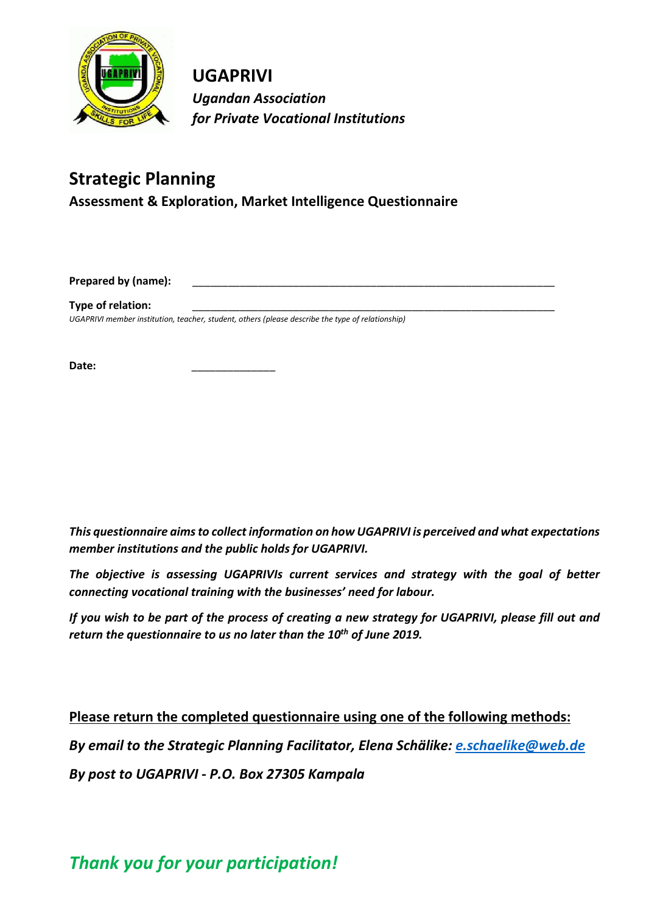

**UGAPRIVI** *Ugandan Association for Private Vocational Institutions*

# **Strategic Planning**

**Assessment & Exploration, Market Intelligence Questionnaire**

**Prepared by (name):** 

**Type of relation:** 

*UGAPRIVI member institution, teacher, student, others (please describe the type of relationship)*

Date:

*This questionnaire aims to collect information on how UGAPRIVI is perceived and what expectations member institutions and the public holds for UGAPRIVI.*

*The objective is assessing UGAPRIVIs current services and strategy with the goal of better connecting vocational training with the businesses' need for labour.* 

*If you wish to be part of the process of creating a new strategy for UGAPRIVI, please fill out and return the questionnaire to us no later than the 10th of June 2019.* 

**Please return the completed questionnaire using one of the following methods:** 

*By email to the Strategic Planning Facilitator, Elena Schälike: e.schaelike@web.de*

*By post to UGAPRIVI - P.O. Box 27305 Kampala*

*Thank you for your participation!*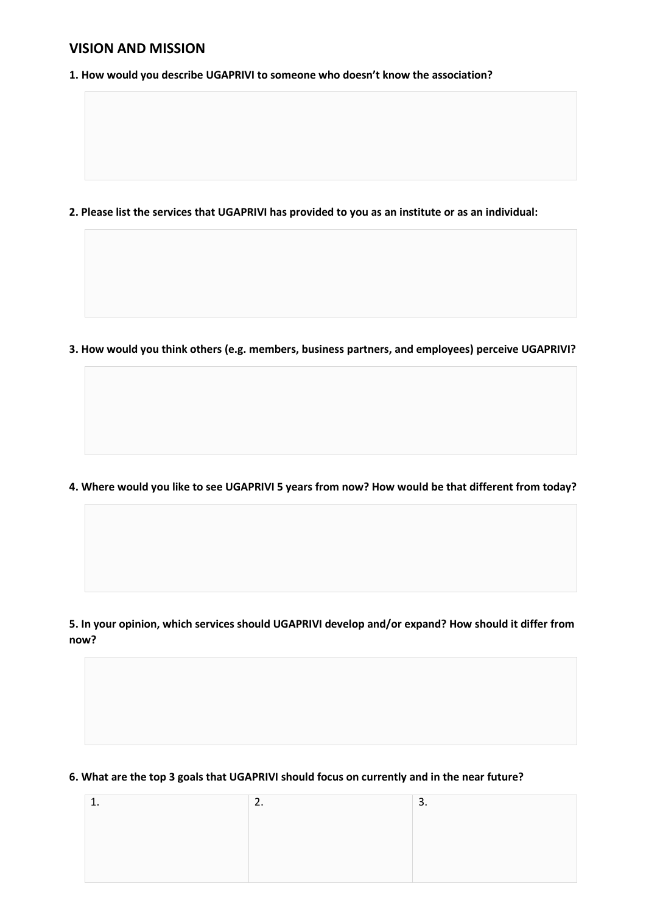## **VISION AND MISSION**

**1. How would you describe UGAPRIVI to someone who doesn't know the association?**

**2. Please list the services that UGAPRIVI has provided to you as an institute or as an individual:**

**3. How would you think others (e.g. members, business partners, and employees) perceive UGAPRIVI?**

**4. Where would you like to see UGAPRIVI 5 years from now? How would be that different from today?**

**5. In your opinion, which services should UGAPRIVI develop and/or expand? How should it differ from now?**

#### **6. What are the top 3 goals that UGAPRIVI should focus on currently and in the near future?**

|  | <u>.</u> |
|--|----------|
|  |          |
|  |          |
|  |          |
|  |          |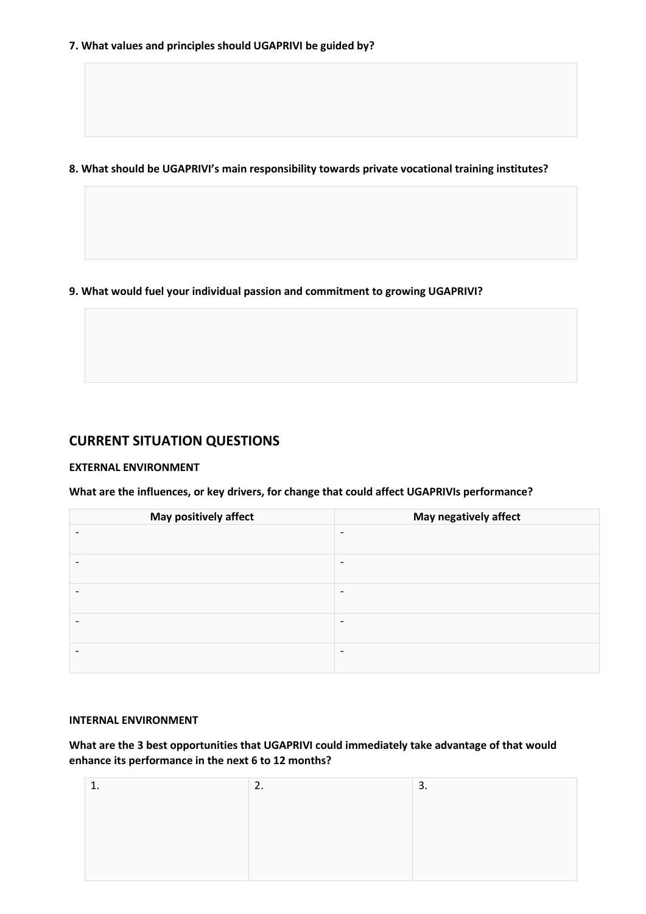**8. What should be UGAPRIVI's main responsibility towards private vocational training institutes?** 

**9. What would fuel your individual passion and commitment to growing UGAPRIVI?** 

# **CURRENT SITUATION QUESTIONS**

#### **EXTERNAL ENVIRONMENT**

**What are the influences, or key drivers, for change that could affect UGAPRIVIs performance?**

| May positively affect | May negatively affect    |
|-----------------------|--------------------------|
|                       | $\overline{\phantom{a}}$ |
|                       | $\overline{\phantom{a}}$ |
|                       | $\overline{\phantom{a}}$ |
|                       | $\overline{\phantom{a}}$ |
|                       | $\overline{\phantom{0}}$ |

### **INTERNAL ENVIRONMENT**

**What are the 3 best opportunities that UGAPRIVI could immediately take advantage of that would enhance its performance in the next 6 to 12 months?** 

| ∽<br>L. | 3. |
|---------|----|
|         |    |
|         |    |
|         |    |
|         |    |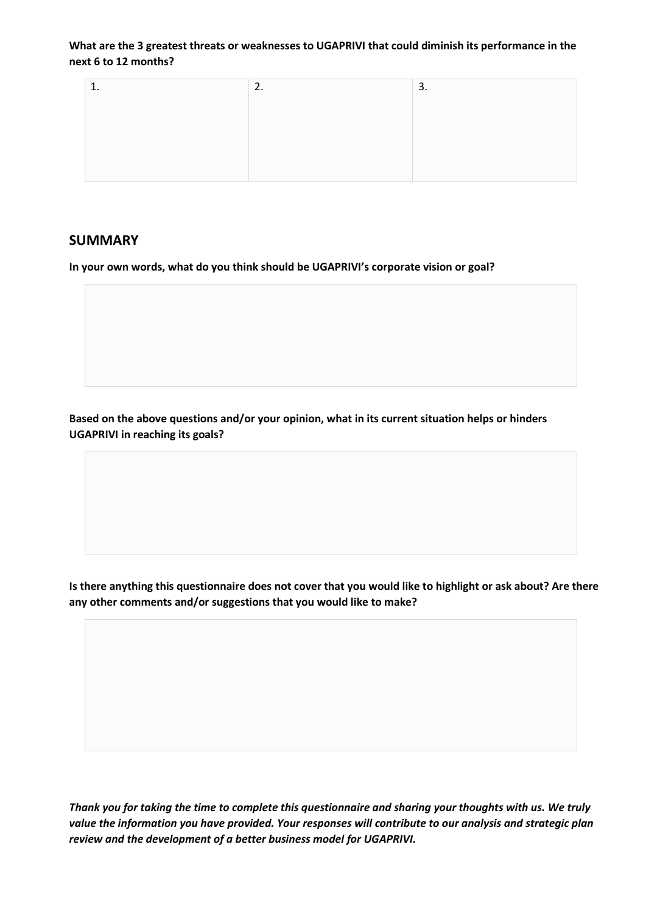**What are the 3 greatest threats or weaknesses to UGAPRIVI that could diminish its performance in the next 6 to 12 months?** 

| <u>.</u> | ◠<br>.ر |
|----------|---------|
|          |         |
|          |         |
|          |         |
|          |         |

### **SUMMARY**

**In your own words, what do you think should be UGAPRIVI's corporate vision or goal?** 

**Based on the above questions and/or your opinion, what in its current situation helps or hinders UGAPRIVI in reaching its goals?** 

**Is there anything this questionnaire does not cover that you would like to highlight or ask about? Are there any other comments and/or suggestions that you would like to make?** 

*Thank you for taking the time to complete this questionnaire and sharing your thoughts with us. We truly value the information you have provided. Your responses will contribute to our analysis and strategic plan review and the development of a better business model for UGAPRIVI.*